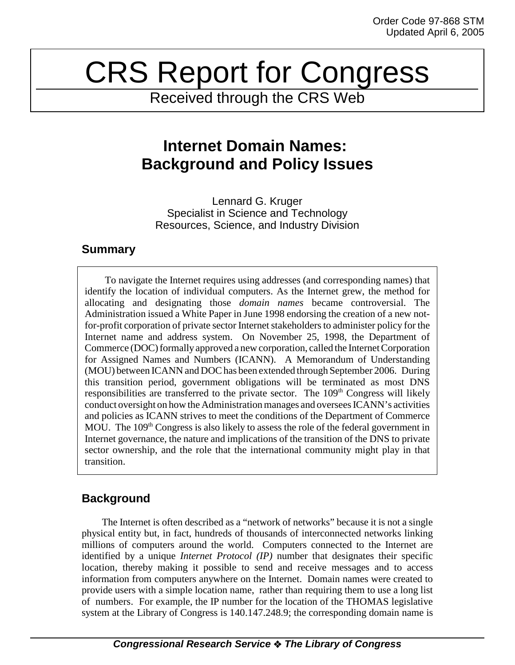# CRS Report for Congress

Received through the CRS Web

## **Internet Domain Names: Background and Policy Issues**

Lennard G. Kruger Specialist in Science and Technology Resources, Science, and Industry Division

### **Summary**

To navigate the Internet requires using addresses (and corresponding names) that identify the location of individual computers. As the Internet grew, the method for allocating and designating those *domain names* became controversial. The Administration issued a White Paper in June 1998 endorsing the creation of a new notfor-profit corporation of private sector Internet stakeholders to administer policy for the Internet name and address system. On November 25, 1998, the Department of Commerce (DOC) formally approved a new corporation, called the Internet Corporation for Assigned Names and Numbers (ICANN). A Memorandum of Understanding (MOU) between ICANN and DOC has been extended through September 2006. During this transition period, government obligations will be terminated as most DNS responsibilities are transferred to the private sector. The  $109<sup>th</sup>$  Congress will likely conduct oversight on how the Administration manages and oversees ICANN's activities and policies as ICANN strives to meet the conditions of the Department of Commerce MOU. The  $109<sup>th</sup>$  Congress is also likely to assess the role of the federal government in Internet governance, the nature and implications of the transition of the DNS to private sector ownership, and the role that the international community might play in that transition.

## **Background**

The Internet is often described as a "network of networks" because it is not a single physical entity but, in fact, hundreds of thousands of interconnected networks linking millions of computers around the world. Computers connected to the Internet are identified by a unique *Internet Protocol (IP)* number that designates their specific location, thereby making it possible to send and receive messages and to access information from computers anywhere on the Internet. Domain names were created to provide users with a simple location name, rather than requiring them to use a long list of numbers. For example, the IP number for the location of the THOMAS legislative system at the Library of Congress is 140.147.248.9; the corresponding domain name is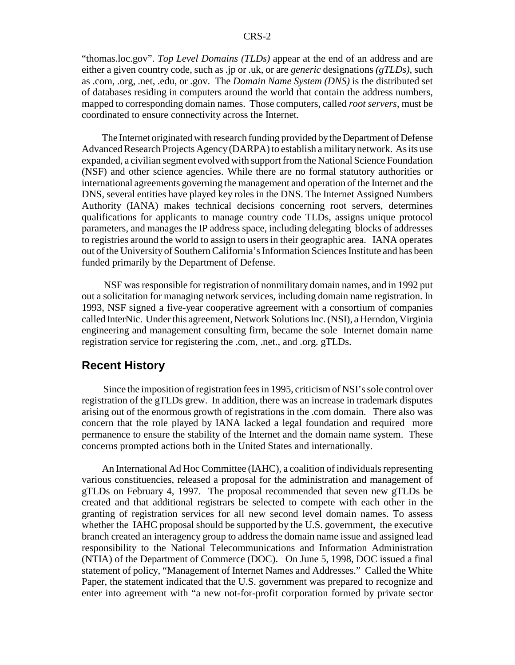"thomas.loc.gov". *Top Level Domains (TLDs)* appear at the end of an address and are either a given country code, such as .jp or .uk, or are *generic* designations *(gTLDs)*, such as .com, .org, .net, .edu, or .gov. The *Domain Name System (DNS)* is the distributed set of databases residing in computers around the world that contain the address numbers, mapped to corresponding domain names. Those computers, called *root servers*, must be coordinated to ensure connectivity across the Internet.

The Internet originated with research funding provided by the Department of Defense Advanced Research Projects Agency (DARPA) to establish a military network. As its use expanded, a civilian segment evolved with support from the National Science Foundation (NSF) and other science agencies. While there are no formal statutory authorities or international agreements governing the management and operation of the Internet and the DNS, several entities have played key roles in the DNS. The Internet Assigned Numbers Authority (IANA) makes technical decisions concerning root servers, determines qualifications for applicants to manage country code TLDs, assigns unique protocol parameters, and manages the IP address space, including delegating blocks of addresses to registries around the world to assign to users in their geographic area. IANA operates out of the University of Southern California's Information Sciences Institute and has been funded primarily by the Department of Defense.

 NSF was responsible for registration of nonmilitary domain names, and in 1992 put out a solicitation for managing network services, including domain name registration. In 1993, NSF signed a five-year cooperative agreement with a consortium of companies called InterNic. Under this agreement, Network Solutions Inc. (NSI), a Herndon, Virginia engineering and management consulting firm, became the sole Internet domain name registration service for registering the .com, .net., and .org. gTLDs.

#### **Recent History**

 Since the imposition of registration fees in 1995, criticism of NSI's sole control over registration of the gTLDs grew. In addition, there was an increase in trademark disputes arising out of the enormous growth of registrations in the .com domain. There also was concern that the role played by IANA lacked a legal foundation and required more permanence to ensure the stability of the Internet and the domain name system. These concerns prompted actions both in the United States and internationally.

An International Ad Hoc Committee (IAHC), a coalition of individuals representing various constituencies, released a proposal for the administration and management of gTLDs on February 4, 1997. The proposal recommended that seven new gTLDs be created and that additional registrars be selected to compete with each other in the granting of registration services for all new second level domain names. To assess whether the IAHC proposal should be supported by the U.S. government, the executive branch created an interagency group to address the domain name issue and assigned lead responsibility to the National Telecommunications and Information Administration (NTIA) of the Department of Commerce (DOC). On June 5, 1998, DOC issued a final statement of policy, "Management of Internet Names and Addresses." Called the White Paper, the statement indicated that the U.S. government was prepared to recognize and enter into agreement with "a new not-for-profit corporation formed by private sector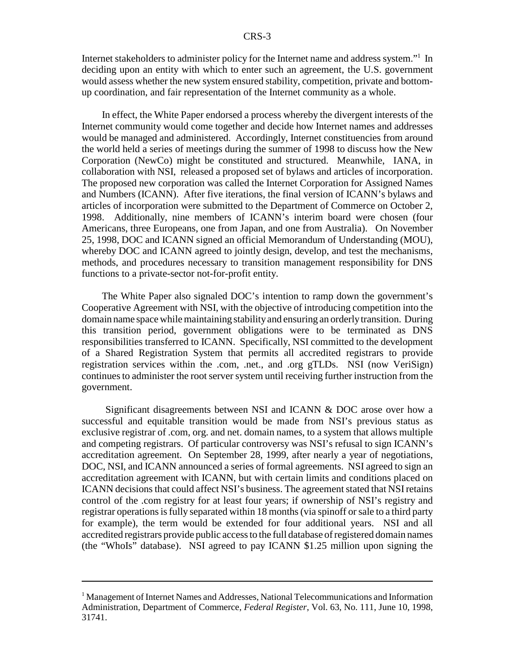Internet stakeholders to administer policy for the Internet name and address system."<sup>1</sup> In deciding upon an entity with which to enter such an agreement, the U.S. government would assess whether the new system ensured stability, competition, private and bottomup coordination, and fair representation of the Internet community as a whole.

In effect, the White Paper endorsed a process whereby the divergent interests of the Internet community would come together and decide how Internet names and addresses would be managed and administered. Accordingly, Internet constituencies from around the world held a series of meetings during the summer of 1998 to discuss how the New Corporation (NewCo) might be constituted and structured. Meanwhile, IANA, in collaboration with NSI, released a proposed set of bylaws and articles of incorporation. The proposed new corporation was called the Internet Corporation for Assigned Names and Numbers (ICANN). After five iterations, the final version of ICANN's bylaws and articles of incorporation were submitted to the Department of Commerce on October 2, 1998. Additionally, nine members of ICANN's interim board were chosen (four Americans, three Europeans, one from Japan, and one from Australia). On November 25, 1998, DOC and ICANN signed an official Memorandum of Understanding (MOU), whereby DOC and ICANN agreed to jointly design, develop, and test the mechanisms, methods, and procedures necessary to transition management responsibility for DNS functions to a private-sector not-for-profit entity.

The White Paper also signaled DOC's intention to ramp down the government's Cooperative Agreement with NSI, with the objective of introducing competition into the domain name space while maintaining stability and ensuring an orderly transition. During this transition period, government obligations were to be terminated as DNS responsibilities transferred to ICANN. Specifically, NSI committed to the development of a Shared Registration System that permits all accredited registrars to provide registration services within the .com, .net., and .org gTLDs. NSI (now VeriSign) continues to administer the root server system until receiving further instruction from the government.

 Significant disagreements between NSI and ICANN & DOC arose over how a successful and equitable transition would be made from NSI's previous status as exclusive registrar of .com, org. and net. domain names, to a system that allows multiple and competing registrars. Of particular controversy was NSI's refusal to sign ICANN's accreditation agreement. On September 28, 1999, after nearly a year of negotiations, DOC, NSI, and ICANN announced a series of formal agreements. NSI agreed to sign an accreditation agreement with ICANN, but with certain limits and conditions placed on ICANN decisions that could affect NSI's business. The agreement stated that NSI retains control of the .com registry for at least four years; if ownership of NSI's registry and registrar operations is fully separated within 18 months (via spinoff or sale to a third party for example), the term would be extended for four additional years. NSI and all accredited registrars provide public access to the full database of registered domain names (the "WhoIs" database). NSI agreed to pay ICANN \$1.25 million upon signing the

<sup>&</sup>lt;sup>1</sup> Management of Internet Names and Addresses, National Telecommunications and Information Administration, Department of Commerce, *Federal Register*, Vol. 63, No. 111, June 10, 1998, 31741.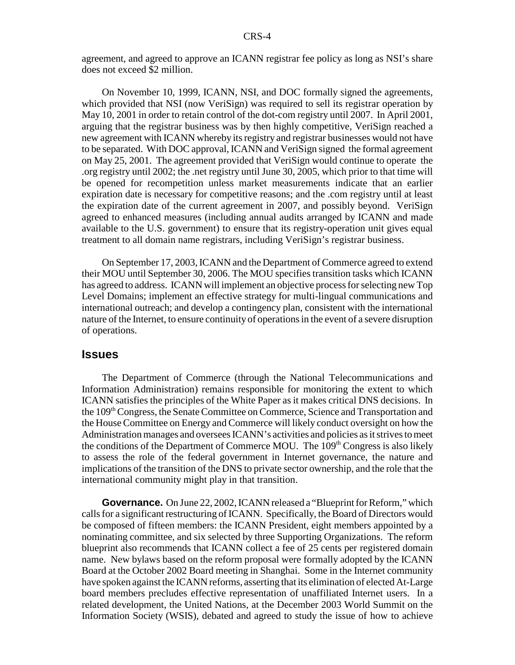agreement, and agreed to approve an ICANN registrar fee policy as long as NSI's share does not exceed \$2 million.

On November 10, 1999, ICANN, NSI, and DOC formally signed the agreements, which provided that NSI (now VeriSign) was required to sell its registrar operation by May 10, 2001 in order to retain control of the dot-com registry until 2007. In April 2001, arguing that the registrar business was by then highly competitive, VeriSign reached a new agreement with ICANN whereby its registry and registrar businesses would not have to be separated. With DOC approval, ICANN and VeriSign signed the formal agreement on May 25, 2001. The agreement provided that VeriSign would continue to operate the .org registry until 2002; the .net registry until June 30, 2005, which prior to that time will be opened for recompetition unless market measurements indicate that an earlier expiration date is necessary for competitive reasons; and the .com registry until at least the expiration date of the current agreement in 2007, and possibly beyond. VeriSign agreed to enhanced measures (including annual audits arranged by ICANN and made available to the U.S. government) to ensure that its registry-operation unit gives equal treatment to all domain name registrars, including VeriSign's registrar business.

On September 17, 2003, ICANN and the Department of Commerce agreed to extend their MOU until September 30, 2006. The MOU specifies transition tasks which ICANN has agreed to address. ICANN will implement an objective process for selecting new Top Level Domains; implement an effective strategy for multi-lingual communications and international outreach; and develop a contingency plan, consistent with the international nature of the Internet, to ensure continuity of operations in the event of a severe disruption of operations.

#### **Issues**

The Department of Commerce (through the National Telecommunications and Information Administration) remains responsible for monitoring the extent to which ICANN satisfies the principles of the White Paper as it makes critical DNS decisions. In the 109th Congress, the Senate Committee on Commerce, Science and Transportation and the House Committee on Energy and Commerce will likely conduct oversight on how the Administration manages and oversees ICANN's activities and policies as it strives to meet the conditions of the Department of Commerce MOU. The 109<sup>th</sup> Congress is also likely to assess the role of the federal government in Internet governance, the nature and implications of the transition of the DNS to private sector ownership, and the role that the international community might play in that transition.

**Governance.** On June 22, 2002, ICANN released a "Blueprint for Reform," which calls for a significant restructuring of ICANN. Specifically, the Board of Directors would be composed of fifteen members: the ICANN President, eight members appointed by a nominating committee, and six selected by three Supporting Organizations. The reform blueprint also recommends that ICANN collect a fee of 25 cents per registered domain name. New bylaws based on the reform proposal were formally adopted by the ICANN Board at the October 2002 Board meeting in Shanghai. Some in the Internet community have spoken against the ICANN reforms, asserting that its elimination of elected At-Large board members precludes effective representation of unaffiliated Internet users. In a related development, the United Nations, at the December 2003 World Summit on the Information Society (WSIS), debated and agreed to study the issue of how to achieve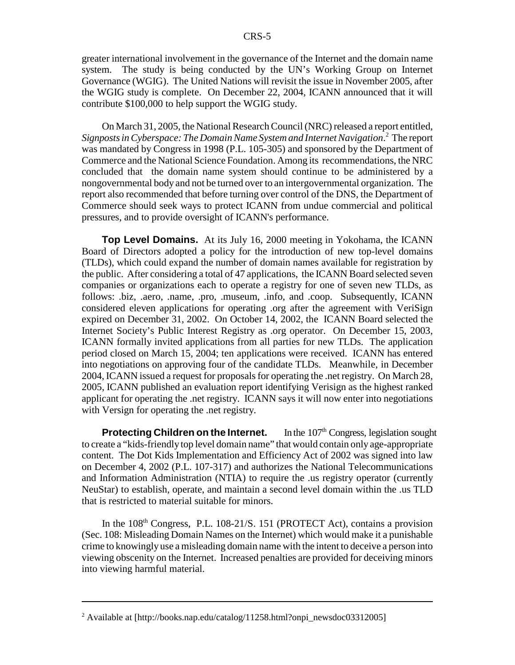greater international involvement in the governance of the Internet and the domain name system. The study is being conducted by the UN's Working Group on Internet Governance (WGIG). The United Nations will revisit the issue in November 2005, after the WGIG study is complete. On December 22, 2004, ICANN announced that it will contribute \$100,000 to help support the WGIG study.

On March 31, 2005, the National Research Council (NRC) released a report entitled, *Signposts in Cyberspace: The Domain Name System and Internet Navigation*. 2 The report was mandated by Congress in 1998 (P.L. 105-305) and sponsored by the Department of Commerce and the National Science Foundation. Among its recommendations, the NRC concluded that the domain name system should continue to be administered by a nongovernmental body and not be turned over to an intergovernmental organization. The report also recommended that before turning over control of the DNS, the Department of Commerce should seek ways to protect ICANN from undue commercial and political pressures, and to provide oversight of ICANN's performance.

**Top Level Domains.** At its July 16, 2000 meeting in Yokohama, the ICANN Board of Directors adopted a policy for the introduction of new top-level domains (TLDs), which could expand the number of domain names available for registration by the public. After considering a total of 47 applications, the ICANN Board selected seven companies or organizations each to operate a registry for one of seven new TLDs, as follows: .biz, .aero, .name, .pro, .museum, .info, and .coop. Subsequently, ICANN considered eleven applications for operating .org after the agreement with VeriSign expired on December 31, 2002. On October 14, 2002, the ICANN Board selected the Internet Society's Public Interest Registry as .org operator. On December 15, 2003, ICANN formally invited applications from all parties for new TLDs. The application period closed on March 15, 2004; ten applications were received. ICANN has entered into negotiations on approving four of the candidate TLDs. Meanwhile, in December 2004, ICANN issued a request for proposals for operating the .net registry. On March 28, 2005, ICANN published an evaluation report identifying Verisign as the highest ranked applicant for operating the .net registry. ICANN says it will now enter into negotiations with Versign for operating the .net registry.

**Protecting Children on the Internet.** In the 107<sup>th</sup> Congress, legislation sought to create a "kids-friendly top level domain name" that would contain only age-appropriate content. The Dot Kids Implementation and Efficiency Act of 2002 was signed into law on December 4, 2002 (P.L. 107-317) and authorizes the National Telecommunications and Information Administration (NTIA) to require the .us registry operator (currently NeuStar) to establish, operate, and maintain a second level domain within the .us TLD that is restricted to material suitable for minors.

In the  $108<sup>th</sup>$  Congress, P.L.  $108-21/S$ . 151 (PROTECT Act), contains a provision (Sec. 108: Misleading Domain Names on the Internet) which would make it a punishable crime to knowingly use a misleading domain name with the intent to deceive a person into viewing obscenity on the Internet. Increased penalties are provided for deceiving minors into viewing harmful material.

<sup>&</sup>lt;sup>2</sup> Available at [http://books.nap.edu/catalog/11258.html?onpi\_newsdoc03312005]